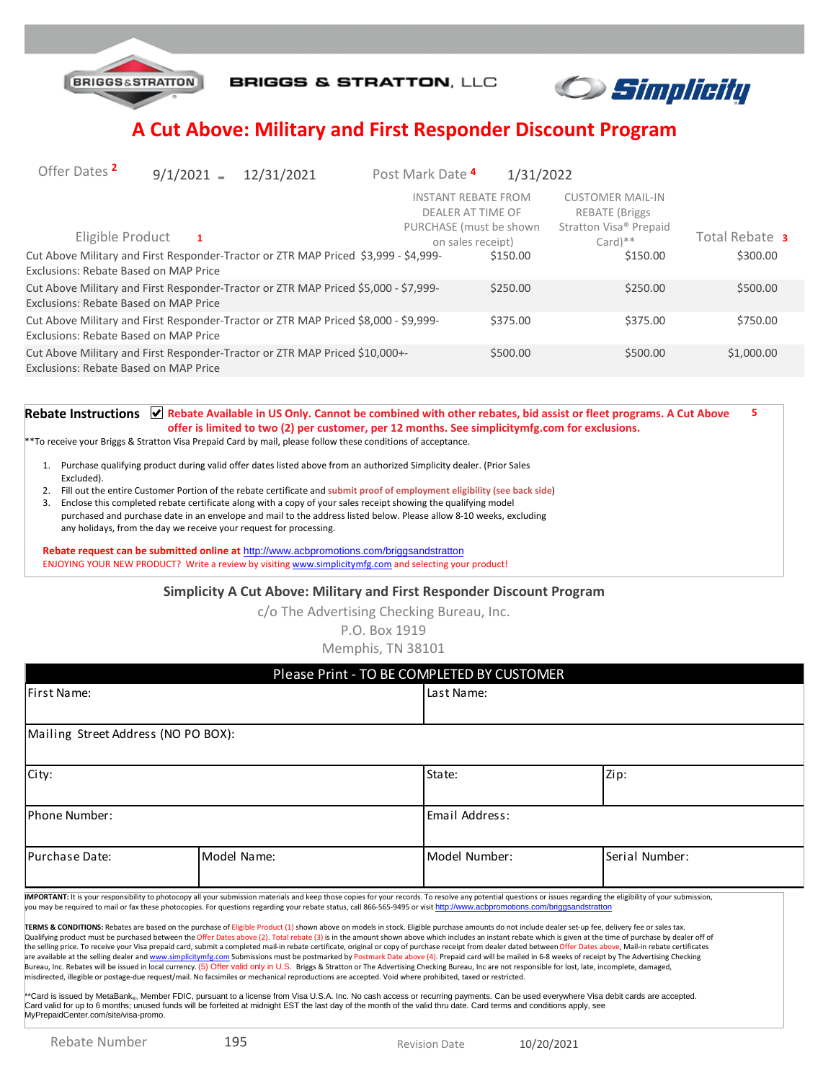

**BRIGGS & STRATTON, LLC** 



## **A Cut Above: Military and First Responder Discount Program**

| Offer Dates <sup>2</sup>                                                                                                                         | $9/1/2021$ =   | 12/31/2021 | Post Mark Date 4 | 1/31/2022                                                                                                   |                                                                                                           |                            |
|--------------------------------------------------------------------------------------------------------------------------------------------------|----------------|------------|------------------|-------------------------------------------------------------------------------------------------------------|-----------------------------------------------------------------------------------------------------------|----------------------------|
| Eligible Product<br>Cut Above Military and First Responder-Tractor or ZTR MAP Priced \$3,999 - \$4,999-<br>Exclusions: Rebate Based on MAP Price | $\blacksquare$ |            |                  | <b>INSTANT REBATE FROM</b><br>DEALER AT TIME OF<br>PURCHASE (must be shown<br>on sales receipt)<br>\$150.00 | <b>CUSTOMER MAIL-IN</b><br>REBATE (Briggs)<br>Stratton Visa <sup>®</sup> Prepaid<br>$Card)**$<br>\$150.00 | Total Rebate 3<br>\$300.00 |
| Cut Above Military and First Responder-Tractor or ZTR MAP Priced \$5,000 - \$7,999-<br>Exclusions: Rebate Based on MAP Price                     |                |            |                  | \$250.00                                                                                                    | \$250.00                                                                                                  | \$500.00                   |
| Cut Above Military and First Responder-Tractor or ZTR MAP Priced \$8,000 - \$9,999-<br>Exclusions: Rebate Based on MAP Price                     |                |            |                  | \$375.00                                                                                                    | \$375.00                                                                                                  | \$750.00                   |
| Cut Above Military and First Responder-Tractor or ZTR MAP Priced \$10,000+-<br>Exclusions: Rebate Based on MAP Price                             |                |            |                  | \$500.00                                                                                                    | \$500.00                                                                                                  | \$1,000.00                 |

Rebate Instructions **M** Rebate Available in US Only. Cannot be combined with other rebates, bid assist or fleet programs. A Cut Above **offer is limited to two (2) per customer, per 12 months. See simplicitymfg.com for exclusions. 5**

\*\*To receive your Briggs & Stratton Visa Prepaid Card by mail, please follow these conditions of acceptance.

- 1. Purchase qualifying product during valid offer dates listed above from an authorized Simplicity dealer. (Prior Sales Excluded).
- 2. Fill out the entire Customer Portion of the rebate certificate and **submit proof of employment eligibility (see back side**)
- 3. Enclose this completed rebate certificate along with a copy of your sales receipt showing the qualifying model
- purchased and purchase date in an envelope and mail to the address listed below. Please allow 8-10 weeks, excluding any holidays, from the day we receive your request for processing.

**Rebate request can be submitted online at** http://www.acbpromotions.com/briggsandstratton ENJOYING YOUR NEW PRODUCT? Write a review by visiting www.simplicitymfg.com and selecting your product!

#### **Simplicity A Cut Above: Military and First Responder Discount Program**

c/o The Advertising Checking Bureau, Inc.

P.O. Box 1919

Memphis, TN 38101

|                                      |                                                                                                                                                                                                                                                                                                                                                                                                                                                                                                                                                                                                                                                                                                                                                                                                                                                                                                                                                                                                                                                                                                                                                                                                                                                                                                                                                                                                                                                                                                                                                                                                                                                                                                                                                                                                                                                                                                                                                                                                                | Please Print - TO BE COMPLETED BY CUSTOMER |                |  |
|--------------------------------------|----------------------------------------------------------------------------------------------------------------------------------------------------------------------------------------------------------------------------------------------------------------------------------------------------------------------------------------------------------------------------------------------------------------------------------------------------------------------------------------------------------------------------------------------------------------------------------------------------------------------------------------------------------------------------------------------------------------------------------------------------------------------------------------------------------------------------------------------------------------------------------------------------------------------------------------------------------------------------------------------------------------------------------------------------------------------------------------------------------------------------------------------------------------------------------------------------------------------------------------------------------------------------------------------------------------------------------------------------------------------------------------------------------------------------------------------------------------------------------------------------------------------------------------------------------------------------------------------------------------------------------------------------------------------------------------------------------------------------------------------------------------------------------------------------------------------------------------------------------------------------------------------------------------------------------------------------------------------------------------------------------------|--------------------------------------------|----------------|--|
| First Name:                          |                                                                                                                                                                                                                                                                                                                                                                                                                                                                                                                                                                                                                                                                                                                                                                                                                                                                                                                                                                                                                                                                                                                                                                                                                                                                                                                                                                                                                                                                                                                                                                                                                                                                                                                                                                                                                                                                                                                                                                                                                | Last Name:                                 |                |  |
| Mailing Street Address (NO PO BOX):  |                                                                                                                                                                                                                                                                                                                                                                                                                                                                                                                                                                                                                                                                                                                                                                                                                                                                                                                                                                                                                                                                                                                                                                                                                                                                                                                                                                                                                                                                                                                                                                                                                                                                                                                                                                                                                                                                                                                                                                                                                |                                            |                |  |
| City:                                |                                                                                                                                                                                                                                                                                                                                                                                                                                                                                                                                                                                                                                                                                                                                                                                                                                                                                                                                                                                                                                                                                                                                                                                                                                                                                                                                                                                                                                                                                                                                                                                                                                                                                                                                                                                                                                                                                                                                                                                                                | State:                                     | Zip:           |  |
| Phone Number:                        |                                                                                                                                                                                                                                                                                                                                                                                                                                                                                                                                                                                                                                                                                                                                                                                                                                                                                                                                                                                                                                                                                                                                                                                                                                                                                                                                                                                                                                                                                                                                                                                                                                                                                                                                                                                                                                                                                                                                                                                                                | Email Address:                             |                |  |
| Purchase Date:                       | Model Name:                                                                                                                                                                                                                                                                                                                                                                                                                                                                                                                                                                                                                                                                                                                                                                                                                                                                                                                                                                                                                                                                                                                                                                                                                                                                                                                                                                                                                                                                                                                                                                                                                                                                                                                                                                                                                                                                                                                                                                                                    | Model Number:                              | Serial Number: |  |
| MyPrepaidCenter.com/site/visa-promo. | IMPORTANT: It is your responsibility to photocopy all your submission materials and keep those copies for your records. To resolve any potential questions or issues regarding the eligibility of your submission,<br>you may be required to mail or fax these photocopies. For questions regarding your rebate status, call 866-565-9495 or visit http://www.acbpromotions.com/briggsandstratton<br>TERMS & CONDITIONS: Rebates are based on the purchase of Eligible Product (1) shown above on models in stock. Eligible purchase amounts do not include dealer set-up fee, delivery fee or sales tax.<br>Qualifying product must be purchased between the Offer Dates above (2). Total rebate (3) is in the amount shown above which includes an instant rebate which is given at the time of purchase by dealer off of<br>the selling price. To receive your Visa prepaid card, submit a completed mail-in rebate certificate, original or copy of purchase receipt from dealer dated between Offer Dates above, Mail-in rebate certificates<br>are available at the selling dealer and www.simplicitymfg.com Submissions must be postmarked by Postmark Date above (4). Prepaid card will be mailed in 6-8 weeks of receipt by The Advertising Checking<br>Bureau, Inc. Rebates will be issued in local currency. (5) Offer valid only in U.S. Briggs & Stratton or The Advertising Checking Bureau, Inc are not responsible for lost, late, incomplete, damaged,<br>misdirected, illegible or postage-due request/mail. No facsimiles or mechanical reproductions are accepted. Void where prohibited, taxed or restricted.<br>**Card is issued by MetaBank <sub>®</sub> , Member FDIC, pursuant to a license from Visa U.S.A. Inc. No cash access or recurring payments. Can be used everywhere Visa debit cards are accepted.<br>Card valid for up to 6 months; unused funds will be forfeited at midnight EST the last day of the month of the valid thru date. Card terms and conditions apply, see |                                            |                |  |